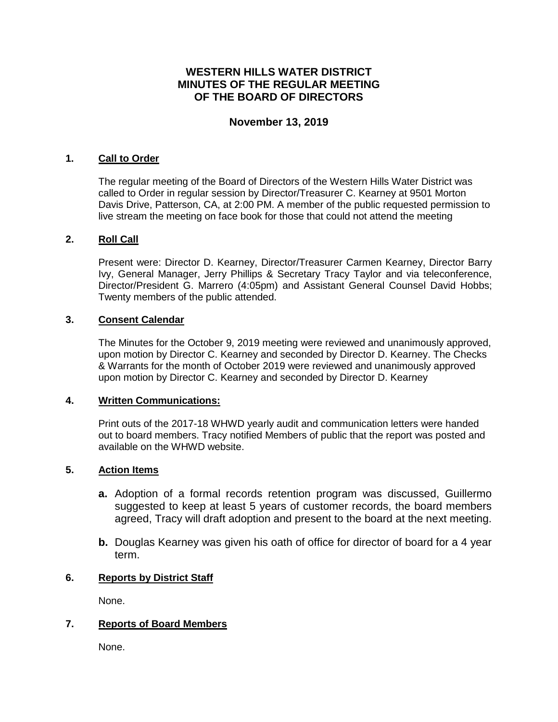# **WESTERN HILLS WATER DISTRICT MINUTES OF THE REGULAR MEETING OF THE BOARD OF DIRECTORS**

# **November 13, 2019**

#### **1. Call to Order**

The regular meeting of the Board of Directors of the Western Hills Water District was called to Order in regular session by Director/Treasurer C. Kearney at 9501 Morton Davis Drive, Patterson, CA, at 2:00 PM. A member of the public requested permission to live stream the meeting on face book for those that could not attend the meeting

## **2. Roll Call**

Present were: Director D. Kearney, Director/Treasurer Carmen Kearney, Director Barry Ivy, General Manager, Jerry Phillips & Secretary Tracy Taylor and via teleconference, Director/President G. Marrero (4:05pm) and Assistant General Counsel David Hobbs; Twenty members of the public attended.

## **3. Consent Calendar**

The Minutes for the October 9, 2019 meeting were reviewed and unanimously approved, upon motion by Director C. Kearney and seconded by Director D. Kearney. The Checks & Warrants for the month of October 2019 were reviewed and unanimously approved upon motion by Director C. Kearney and seconded by Director D. Kearney

#### **4. Written Communications:**

Print outs of the 2017-18 WHWD yearly audit and communication letters were handed out to board members. Tracy notified Members of public that the report was posted and available on the WHWD website.

#### **5. Action Items**

- **a.** Adoption of a formal records retention program was discussed, Guillermo suggested to keep at least 5 years of customer records, the board members agreed, Tracy will draft adoption and present to the board at the next meeting.
- **b.** Douglas Kearney was given his oath of office for director of board for a 4 year term.

# **6. Reports by District Staff**

None.

# **7. Reports of Board Members**

None.